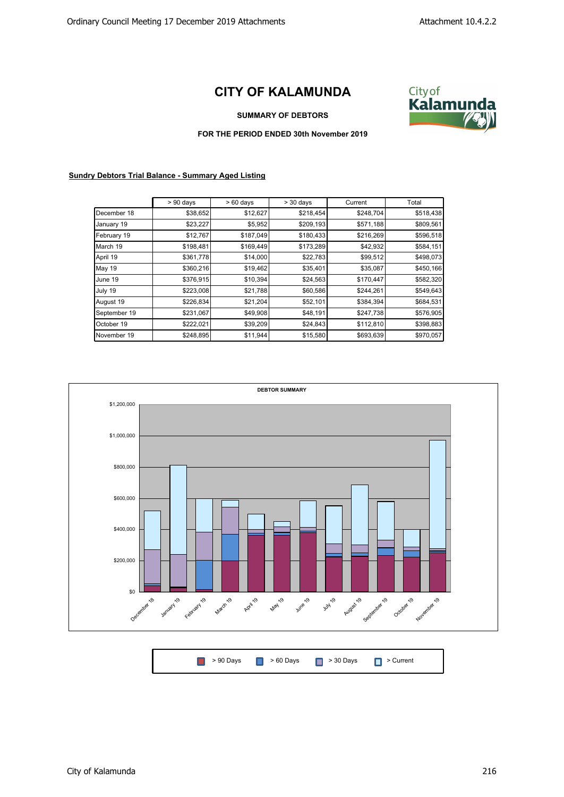## **CITY OF KALAMUNDA**



**SUMMARY OF DEBTORS**

**FOR THE PERIOD ENDED 30th November 2019**

## **Sundry Debtors Trial Balance - Summary Aged Listing**

|              | $> 90$ days | $>60$ days | $>$ 30 days | Current   | Total     |
|--------------|-------------|------------|-------------|-----------|-----------|
| December 18  | \$38,652    | \$12,627   | \$218,454   | \$248,704 | \$518,438 |
| January 19   | \$23,227    | \$5,952    | \$209,193   | \$571,188 | \$809,561 |
| February 19  | \$12,767    | \$187,049  | \$180,433   | \$216,269 | \$596,518 |
| March 19     | \$198,481   | \$169,449  | \$173,289   | \$42,932  | \$584,151 |
| April 19     | \$361,778   | \$14,000   | \$22,783    | \$99,512  | \$498,073 |
| May 19       | \$360,216   | \$19,462   | \$35,401    | \$35,087  | \$450,166 |
| June 19      | \$376,915   | \$10,394   | \$24,563    | \$170,447 | \$582,320 |
| July 19      | \$223,008   | \$21,788   | \$60,586    | \$244,261 | \$549,643 |
| August 19    | \$226,834   | \$21,204   | \$52,101    | \$384,394 | \$684,531 |
| September 19 | \$231,067   | \$49,908   | \$48,191    | \$247,738 | \$576,905 |
| October 19   | \$222,021   | \$39,209   | \$24,843    | \$112,810 | \$398,883 |
| November 19  | \$248,895   | \$11,944   | \$15,580    | \$693,639 | \$970,057 |



| ■ > 90 Days ■ > 60 Days ■ > 30 Days ■ > Current |  |
|-------------------------------------------------|--|
|-------------------------------------------------|--|